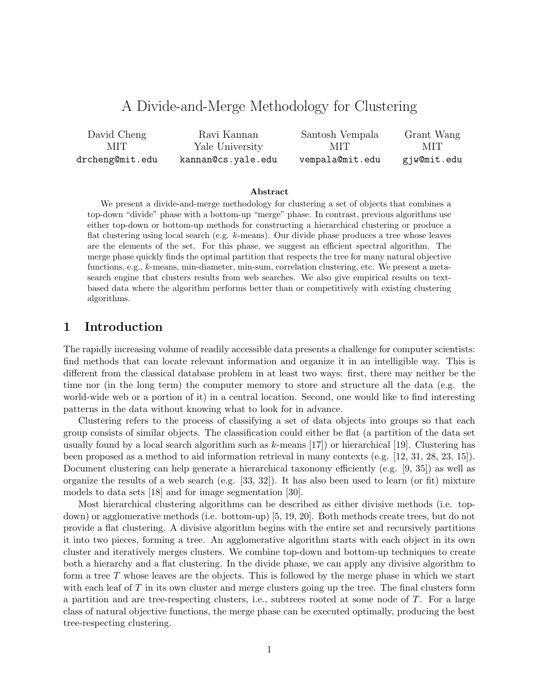# A Divide-and-Merge Methodology for Clustering

| David Cheng     | Ravi Kannan        | Santosh Vempala | Grant Wang  |
|-----------------|--------------------|-----------------|-------------|
| MIT.            | Yale University    | MIT -           | MIT.        |
| drcheng@mit.edu | kannan@cs.yale.edu | vempala@mit.edu | gjw@mit.edu |

#### Abstract

We present a divide-and-merge methodology for clustering a set of objects that combines a top-down "divide" phase with a bottom-up "merge" phase. In contrast, previous algorithms use either top-down or bottom-up methods for constructing a hierarchical clustering or produce a flat clustering using local search (e.g. k-means). Our divide phase produces a tree whose leaves are the elements of the set. For this phase, we suggest an efficient spectral algorithm. The merge phase quickly finds the optimal partition that respects the tree for many natural objective functions, e.g., k-means, min-diameter, min-sum, correlation clustering, etc. We present a metasearch engine that clusters results from web searches. We also give empirical results on textbased data where the algorithm performs better than or competitively with existing clustering algorithms.

### 1 Introduction

The rapidly increasing volume of readily accessible data presents a challenge for computer scientists: find methods that can locate relevant information and organize it in an intelligible way. This is different from the classical database problem in at least two ways: first, there may neither be the time nor (in the long term) the computer memory to store and structure all the data (e.g. the world-wide web or a portion of it) in a central location. Second, one would like to find interesting patterns in the data without knowing what to look for in advance.

Clustering refers to the process of classifying a set of data objects into groups so that each group consists of similar objects. The classification could either be flat (a partition of the data set usually found by a local search algorithm such as  $k$ -means [17]) or hierarchical [19]. Clustering has been proposed as a method to aid information retrieval in many contexts (e.g. [12, 31, 28, 23, 15]). Document clustering can help generate a hierarchical taxonomy efficiently (e.g. [9, 35]) as well as organize the results of a web search (e.g. [33, 32]). It has also been used to learn (or fit) mixture models to data sets [18] and for image segmentation [30].

Most hierarchical clustering algorithms can be described as either divisive methods (i.e. topdown) or agglomerative methods (i.e. bottom-up) [5, 19, 20]. Both methods create trees, but do not provide a flat clustering. A divisive algorithm begins with the entire set and recursively partitions it into two pieces, forming a tree. An agglomerative algorithm starts with each object in its own cluster and iteratively merges clusters. We combine top-down and bottom-up techniques to create both a hierarchy and a flat clustering. In the divide phase, we can apply any divisive algorithm to form a tree  $T$  whose leaves are the objects. This is followed by the merge phase in which we start with each leaf of  $T$  in its own cluster and merge clusters going up the tree. The final clusters form a partition and are tree-respecting clusters, i.e., subtrees rooted at some node of  $T$ . For a large class of natural objective functions, the merge phase can be executed optimally, producing the best tree-respecting clustering.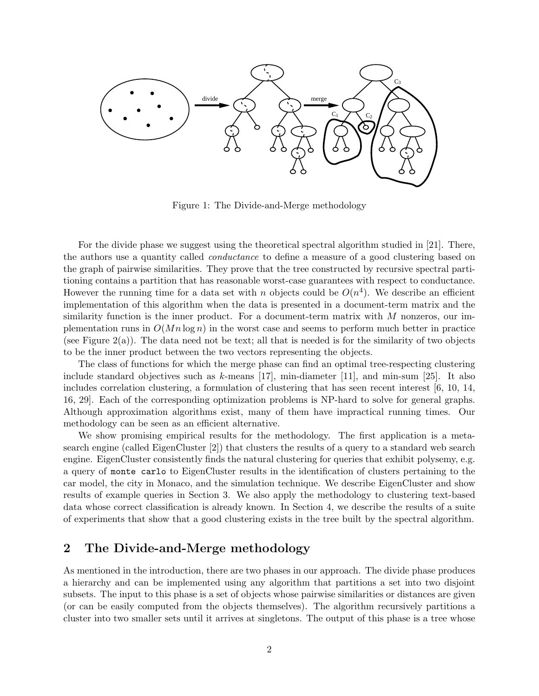

Figure 1: The Divide-and-Merge methodology

For the divide phase we suggest using the theoretical spectral algorithm studied in [21]. There, the authors use a quantity called conductance to define a measure of a good clustering based on the graph of pairwise similarities. They prove that the tree constructed by recursive spectral partitioning contains a partition that has reasonable worst-case guarantees with respect to conductance. However the running time for a data set with n objects could be  $O(n^4)$ . We describe an efficient implementation of this algorithm when the data is presented in a document-term matrix and the similarity function is the inner product. For a document-term matrix with  $M$  nonzeros, our implementation runs in  $O(Mn \log n)$  in the worst case and seems to perform much better in practice (see Figure 2(a)). The data need not be text; all that is needed is for the similarity of two objects to be the inner product between the two vectors representing the objects.

The class of functions for which the merge phase can find an optimal tree-respecting clustering include standard objectives such as k-means [17], min-diameter [11], and min-sum [25]. It also includes correlation clustering, a formulation of clustering that has seen recent interest [6, 10, 14, 16, 29]. Each of the corresponding optimization problems is NP-hard to solve for general graphs. Although approximation algorithms exist, many of them have impractical running times. Our methodology can be seen as an efficient alternative.

We show promising empirical results for the methodology. The first application is a metasearch engine (called EigenCluster [2]) that clusters the results of a query to a standard web search engine. EigenCluster consistently finds the natural clustering for queries that exhibit polysemy, e.g. a query of monte carlo to EigenCluster results in the identification of clusters pertaining to the car model, the city in Monaco, and the simulation technique. We describe EigenCluster and show results of example queries in Section 3. We also apply the methodology to clustering text-based data whose correct classification is already known. In Section 4, we describe the results of a suite of experiments that show that a good clustering exists in the tree built by the spectral algorithm.

## 2 The Divide-and-Merge methodology

As mentioned in the introduction, there are two phases in our approach. The divide phase produces a hierarchy and can be implemented using any algorithm that partitions a set into two disjoint subsets. The input to this phase is a set of objects whose pairwise similarities or distances are given (or can be easily computed from the objects themselves). The algorithm recursively partitions a cluster into two smaller sets until it arrives at singletons. The output of this phase is a tree whose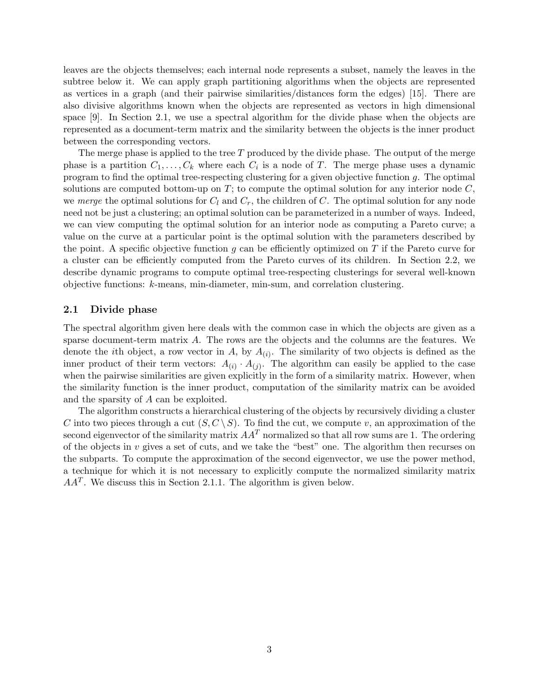leaves are the objects themselves; each internal node represents a subset, namely the leaves in the subtree below it. We can apply graph partitioning algorithms when the objects are represented as vertices in a graph (and their pairwise similarities/distances form the edges) [15]. There are also divisive algorithms known when the objects are represented as vectors in high dimensional space [9]. In Section 2.1, we use a spectral algorithm for the divide phase when the objects are represented as a document-term matrix and the similarity between the objects is the inner product between the corresponding vectors.

The merge phase is applied to the tree  $T$  produced by the divide phase. The output of the merge phase is a partition  $C_1, \ldots, C_k$  where each  $C_i$  is a node of T. The merge phase uses a dynamic program to find the optimal tree-respecting clustering for a given objective function  $g$ . The optimal solutions are computed bottom-up on  $T$ ; to compute the optimal solution for any interior node  $C$ , we merge the optimal solutions for  $C_l$  and  $C_r$ , the children of C. The optimal solution for any node need not be just a clustering; an optimal solution can be parameterized in a number of ways. Indeed, we can view computing the optimal solution for an interior node as computing a Pareto curve; a value on the curve at a particular point is the optimal solution with the parameters described by the point. A specific objective function  $g$  can be efficiently optimized on  $T$  if the Pareto curve for a cluster can be efficiently computed from the Pareto curves of its children. In Section 2.2, we describe dynamic programs to compute optimal tree-respecting clusterings for several well-known objective functions: k-means, min-diameter, min-sum, and correlation clustering.

#### 2.1 Divide phase

The spectral algorithm given here deals with the common case in which the objects are given as a sparse document-term matrix A. The rows are the objects and the columns are the features. We denote the *i*th object, a row vector in A, by  $A_{(i)}$ . The similarity of two objects is defined as the inner product of their term vectors:  $A_{(i)} \cdot A_{(j)}$ . The algorithm can easily be applied to the case when the pairwise similarities are given explicitly in the form of a similarity matrix. However, when the similarity function is the inner product, computation of the similarity matrix can be avoided and the sparsity of A can be exploited.

The algorithm constructs a hierarchical clustering of the objects by recursively dividing a cluster C into two pieces through a cut  $(S, C \setminus S)$ . To find the cut, we compute v, an approximation of the second eigenvector of the similarity matrix  $AA<sup>T</sup>$  normalized so that all row sums are 1. The ordering of the objects in v gives a set of cuts, and we take the "best" one. The algorithm then recurses on the subparts. To compute the approximation of the second eigenvector, we use the power method, a technique for which it is not necessary to explicitly compute the normalized similarity matrix  $AA<sup>T</sup>$ . We discuss this in Section 2.1.1. The algorithm is given below.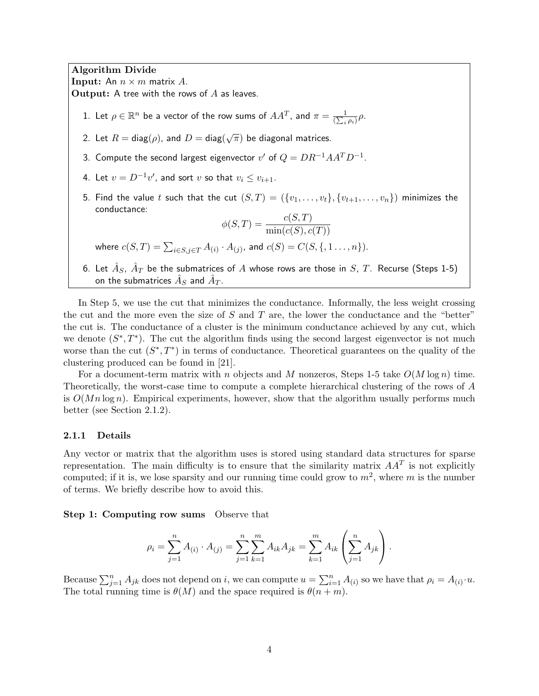Algorithm Divide **Input:** An  $n \times m$  matrix A.

 $\mathbf{Output:}$  A tree with the rows of  $A$  as leaves.

- 1. Let  $\rho \in \mathbb{R}^n$  be a vector of the row sums of  $AA^T$ , and  $\pi = \frac{1}{\sqrt{2\pi}}$  $\frac{1}{(\sum_i \rho_i)} \rho$ .
- 2. Let  $R = \mathsf{diag}(\rho)$ , and  $D = \mathsf{diag}(\sqrt{\pi})$  be diagonal matrices.
- 3. Compute the second largest eigenvector  $v'$  of  $Q=DR^{-1}AA^TD^{-1}$ .
- 4. Let  $v = D^{-1}v'$ , and sort  $v$  so that  $v_i \le v_{i+1}$ .
- 5. Find the value t such that the cut  $(S,T) = (\{v_1,\ldots,v_t\}, \{v_{t+1},\ldots,v_n\})$  minimizes the conductance:

$$
\phi(S,T) = \frac{c(S,T)}{\min(c(S), c(T))}
$$

where  $c(S,T)=\sum_{i\in S,j\in T}A_{(i)}\cdot A_{(j)},$  and  $c(S)=C(S,\{,1\ldots,n\}).$ 

6. Let  $\hat{A}_S$ ,  $\hat{A}_T$  be the submatrices of  $A$  whose rows are those in  $S$ ,  $T$ . Recurse (Steps 1-5) on the submatrices  $\hat{A}_S$  and  $\hat{A}_T.$ 

In Step 5, we use the cut that minimizes the conductance. Informally, the less weight crossing the cut and the more even the size of S and T are, the lower the conductance and the "better" the cut is. The conductance of a cluster is the minimum conductance achieved by any cut, which we denote  $(S^*, T^*)$ . The cut the algorithm finds using the second largest eigenvector is not much worse than the cut  $(S^*,T^*)$  in terms of conductance. Theoretical guarantees on the quality of the clustering produced can be found in [21].

For a document-term matrix with n objects and M nonzeros, Steps 1-5 take  $O(M \log n)$  time. Theoretically, the worst-case time to compute a complete hierarchical clustering of the rows of A is  $O(Mn \log n)$ . Empirical experiments, however, show that the algorithm usually performs much better (see Section 2.1.2).

#### 2.1.1 Details

Any vector or matrix that the algorithm uses is stored using standard data structures for sparse representation. The main difficulty is to ensure that the similarity matrix  $AA<sup>T</sup>$  is not explicitly computed; if it is, we lose sparsity and our running time could grow to  $m^2$ , where m is the number of terms. We briefly describe how to avoid this.

Step 1: Computing row sums Observe that

$$
\rho_i = \sum_{j=1}^n A_{(i)} \cdot A_{(j)} = \sum_{j=1}^n \sum_{k=1}^m A_{ik} A_{jk} = \sum_{k=1}^m A_{ik} \left( \sum_{j=1}^n A_{jk} \right).
$$

Because  $\sum_{j=1}^n A_{jk}$  does not depend on i, we can compute  $u = \sum_{i=1}^n A_{(i)}$  so we have that  $\rho_i = A_{(i)} \cdot u$ . The total running time is  $\theta(M)$  and the space required is  $\theta(n+m)$ .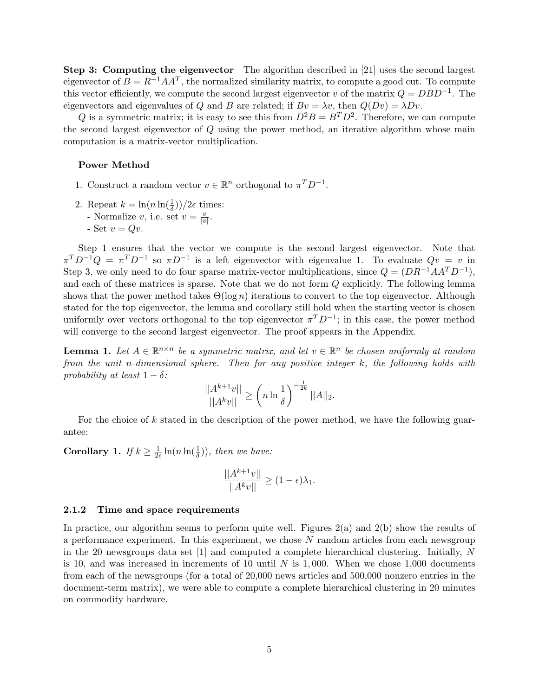Step 3: Computing the eigenvector The algorithm described in [21] uses the second largest eigenvector of  $B = R^{-1}AA^T$ , the normalized similarity matrix, to compute a good cut. To compute this vector efficiently, we compute the second largest eigenvector v of the matrix  $Q = DBD^{-1}$ . The eigenvectors and eigenvalues of Q and B are related; if  $Bv = \lambda v$ , then  $Q(Dv) = \lambda Dv$ .

Q is a symmetric matrix; it is easy to see this from  $D^2B = B^TD^2$ . Therefore, we can compute the second largest eigenvector of Q using the power method, an iterative algorithm whose main computation is a matrix-vector multiplication.

#### Power Method

- 1. Construct a random vector  $v \in \mathbb{R}^n$  orthogonal to  $\pi^T D^{-1}$ .
- 2. Repeat  $k = \ln(n \ln(\frac{1}{\delta}))/2\epsilon$  times:
	- Normalize v, i.e. set  $v = \frac{v}{|v|}$  $\frac{v}{|v|}$ .
	- Set  $v = Qv$ .

Step 1 ensures that the vector we compute is the second largest eigenvector. Note that  $\pi^T D^{-1} Q = \pi^T D^{-1}$  so  $\pi D^{-1}$  is a left eigenvector with eigenvalue 1. To evaluate  $Qv = v$  in Step 3, we only need to do four sparse matrix-vector multiplications, since  $Q = (DR^{-1}AA^T D^{-1})$ , and each of these matrices is sparse. Note that we do not form Q explicitly. The following lemma shows that the power method takes  $\Theta(\log n)$  iterations to convert to the top eigenvector. Although stated for the top eigenvector, the lemma and corollary still hold when the starting vector is chosen uniformly over vectors orthogonal to the top eigenvector  $\pi^T D^{-1}$ ; in this case, the power method will converge to the second largest eigenvector. The proof appears in the Appendix.

**Lemma 1.** Let  $A \in \mathbb{R}^{n \times n}$  be a symmetric matrix, and let  $v \in \mathbb{R}^n$  be chosen uniformly at random from the unit n-dimensional sphere. Then for any positive integer  $k$ , the following holds with probability at least  $1 - \delta$ :

$$
\frac{||A^{k+1}v||}{||A^k v||} \ge \left(n \ln \frac{1}{\delta}\right)^{-\frac{1}{2k}} ||A||_2.
$$

For the choice of  $k$  stated in the description of the power method, we have the following guarantee:

Corollary 1. If  $k \geq \frac{1}{2d}$  $\frac{1}{2\epsilon}\ln(n\ln(\frac{1}{\delta})),$  then we have:

$$
\frac{||A^{k+1}v||}{||A^kv||} \ge (1-\epsilon)\lambda_1.
$$

#### 2.1.2 Time and space requirements

In practice, our algorithm seems to perform quite well. Figures  $2(a)$  and  $2(b)$  show the results of a performance experiment. In this experiment, we chose N random articles from each newsgroup in the 20 newsgroups data set [1] and computed a complete hierarchical clustering. Initially, N is 10, and was increased in increments of 10 until  $N$  is 1,000. When we chose 1,000 documents from each of the newsgroups (for a total of 20,000 news articles and 500,000 nonzero entries in the document-term matrix), we were able to compute a complete hierarchical clustering in 20 minutes on commodity hardware.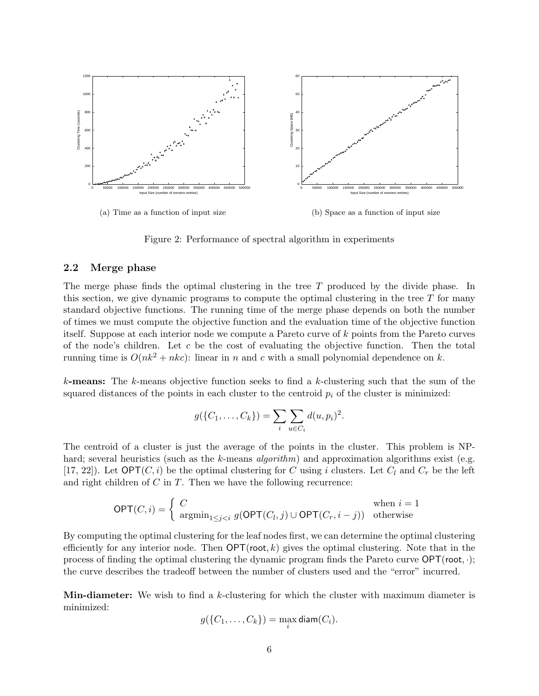

Figure 2: Performance of spectral algorithm in experiments

#### 2.2 Merge phase

The merge phase finds the optimal clustering in the tree T produced by the divide phase. In this section, we give dynamic programs to compute the optimal clustering in the tree  $T$  for many standard objective functions. The running time of the merge phase depends on both the number of times we must compute the objective function and the evaluation time of the objective function itself. Suppose at each interior node we compute a Pareto curve of k points from the Pareto curves of the node's children. Let c be the cost of evaluating the objective function. Then the total running time is  $O(nk^2 + nkc)$ : linear in n and c with a small polynomial dependence on k.

**k-means:** The k-means objective function seeks to find a k-clustering such that the sum of the squared distances of the points in each cluster to the centroid  $p_i$  of the cluster is minimized:

$$
g(\{C_1, \ldots, C_k\}) = \sum_i \sum_{u \in C_i} d(u, p_i)^2.
$$

The centroid of a cluster is just the average of the points in the cluster. This problem is NPhard; several heuristics (such as the k-means *algorithm*) and approximation algorithms exist (e.g. [17, 22]). Let  $\mathsf{OPT}(C, i)$  be the optimal clustering for C using i clusters. Let  $C_l$  and  $C_r$  be the left and right children of  $C$  in  $T$ . Then we have the following recurrence:

$$
\mathsf{OPT}(C,i) = \left\{ \begin{array}{ll} C & \text{when } i=1\\ \mathsf{argmin}_{1\leq j
$$

By computing the optimal clustering for the leaf nodes first, we can determine the optimal clustering efficiently for any interior node. Then  $\mathsf{OPT}(\mathsf{root}, k)$  gives the optimal clustering. Note that in the process of finding the optimal clustering the dynamic program finds the Pareto curve OPT(root, ·); the curve describes the tradeoff between the number of clusters used and the "error" incurred.

Min-diameter: We wish to find a k-clustering for which the cluster with maximum diameter is minimized:

$$
g(\{C_1,\ldots,C_k\})=\max_i \text{diam}(C_i).
$$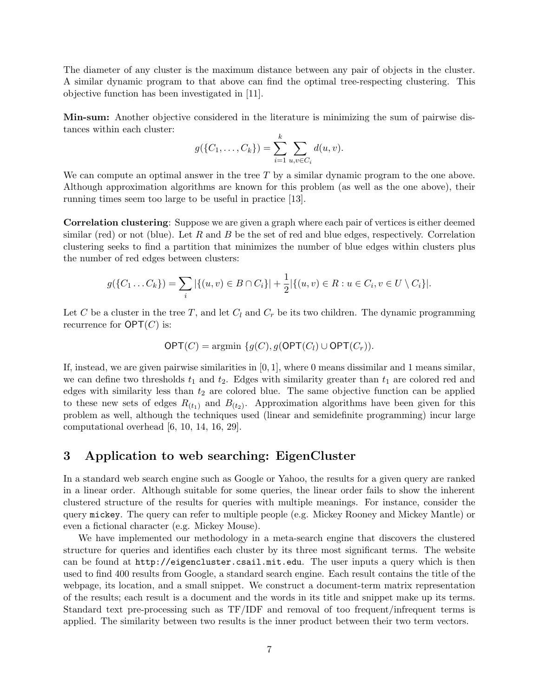The diameter of any cluster is the maximum distance between any pair of objects in the cluster. A similar dynamic program to that above can find the optimal tree-respecting clustering. This objective function has been investigated in [11].

Min-sum: Another objective considered in the literature is minimizing the sum of pairwise distances within each cluster:

$$
g(\{C_1, \ldots, C_k\}) = \sum_{i=1}^k \sum_{u,v \in C_i} d(u,v).
$$

We can compute an optimal answer in the tree  $T$  by a similar dynamic program to the one above. Although approximation algorithms are known for this problem (as well as the one above), their running times seem too large to be useful in practice [13].

Correlation clustering: Suppose we are given a graph where each pair of vertices is either deemed similar (red) or not (blue). Let R and B be the set of red and blue edges, respectively. Correlation clustering seeks to find a partition that minimizes the number of blue edges within clusters plus the number of red edges between clusters:

$$
g(\{C_1 \dots C_k\}) = \sum_i |\{(u, v) \in B \cap C_i\}| + \frac{1}{2} |\{(u, v) \in R : u \in C_i, v \in U \setminus C_i\}|.
$$

Let C be a cluster in the tree T, and let  $C_l$  and  $C_r$  be its two children. The dynamic programming recurrence for  $\mathsf{OPT}(C)$  is:

$$
\mathsf{OPT}(C) = \operatorname{argmin} \{g(C), g(\mathsf{OPT}(C_l) \cup \mathsf{OPT}(C_r)).
$$

If, instead, we are given pairwise similarities in  $[0, 1]$ , where 0 means dissimilar and 1 means similar, we can define two thresholds  $t_1$  and  $t_2$ . Edges with similarity greater than  $t_1$  are colored red and edges with similarity less than  $t_2$  are colored blue. The same objective function can be applied to these new sets of edges  $R_{(t_1)}$  and  $B_{(t_2)}$ . Approximation algorithms have been given for this problem as well, although the techniques used (linear and semidefinite programming) incur large computational overhead [6, 10, 14, 16, 29].

### 3 Application to web searching: EigenCluster

In a standard web search engine such as Google or Yahoo, the results for a given query are ranked in a linear order. Although suitable for some queries, the linear order fails to show the inherent clustered structure of the results for queries with multiple meanings. For instance, consider the query mickey. The query can refer to multiple people (e.g. Mickey Rooney and Mickey Mantle) or even a fictional character (e.g. Mickey Mouse).

We have implemented our methodology in a meta-search engine that discovers the clustered structure for queries and identifies each cluster by its three most significant terms. The website can be found at http://eigencluster.csail.mit.edu. The user inputs a query which is then used to find 400 results from Google, a standard search engine. Each result contains the title of the webpage, its location, and a small snippet. We construct a document-term matrix representation of the results; each result is a document and the words in its title and snippet make up its terms. Standard text pre-processing such as TF/IDF and removal of too frequent/infrequent terms is applied. The similarity between two results is the inner product between their two term vectors.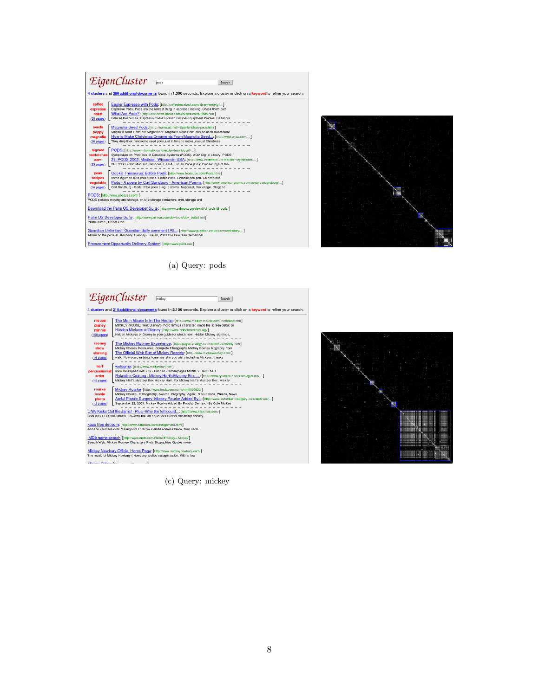



(a) Query: pods

# EigenCluster Finisher  $Search$ 4 clusters and 214 additional documents found in 2.100 seconds. Explore a cluster or click on a keyword to refine your search. 4 clusters and 214 additional documents found in 2.100 seconds. Explore a cluster or click on a keyword to refine<br>
mone of the Main Mouse Lin In House (http://www.mickey.mas.com/henous.executives.org/<br>
disney and the Mick kaus files dot com: [http://www.kausfiles.com/assignment.html]<br>Join the kausfiles.com mailing list! Enter your email address below, then click IMDb name search: [http://www.imdb.com/Name?Rooney,+Mickey]<br>Search Web. Mickey Rooney Characters Plots Biographies Quotes more Mickey Newbury Official Home Page: [http://www.mickeynewbury.com/]<br>The music of Mickey Newbury ( Newberry )defles categorization. With a few **Marian Attained and**  $\sim$   $\alpha$

(c) Query: mickey

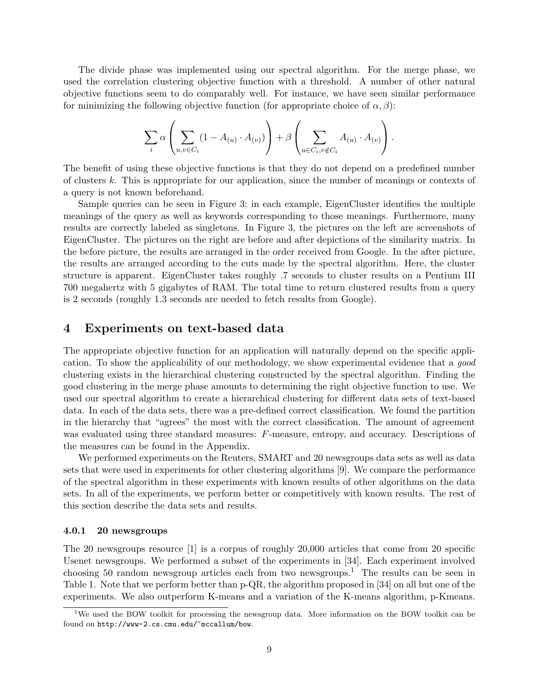The divide phase was implemented using our spectral algorithm. For the merge phase, we used the correlation clustering objective function with a threshold. A number of other natural objective functions seem to do comparably well. For instance, we have seen similar performance for minimizing the following objective function (for appropriate choice of  $\alpha$ ,  $\beta$ ):

$$
\sum_{i} \alpha \left( \sum_{u,v \in C_i} (1 - A_{(u)} \cdot A_{(v)}) \right) + \beta \left( \sum_{u \in C_i, v \notin C_i} A_{(u)} \cdot A_{(v)} \right).
$$

The benefit of using these objective functions is that they do not depend on a predefined number of clusters k. This is appropriate for our application, since the number of meanings or contexts of a query is not known beforehand.

Sample queries can be seen in Figure 3; in each example, EigenCluster identifies the multiple meanings of the query as well as keywords corresponding to those meanings. Furthermore, many results are correctly labeled as singletons. In Figure 3, the pictures on the left are screenshots of EigenCluster. The pictures on the right are before and after depictions of the similarity matrix. In the before picture, the results are arranged in the order received from Google. In the after picture, the results are arranged according to the cuts made by the spectral algorithm. Here, the cluster structure is apparent. EigenCluster takes roughly .7 seconds to cluster results on a Pentium III 700 megahertz with 5 gigabytes of RAM. The total time to return clustered results from a query is 2 seconds (roughly 1.3 seconds are needed to fetch results from Google).

### 4 Experiments on text-based data

The appropriate objective function for an application will naturally depend on the specific application. To show the applicability of our methodology, we show experimental evidence that a good clustering exists in the hierarchical clustering constructed by the spectral algorithm. Finding the good clustering in the merge phase amounts to determining the right objective function to use. We used our spectral algorithm to create a hierarchical clustering for different data sets of text-based data. In each of the data sets, there was a pre-defined correct classification. We found the partition in the hierarchy that "agrees" the most with the correct classification. The amount of agreement was evaluated using three standard measures: F-measure, entropy, and accuracy. Descriptions of the measures can be found in the Appendix.

We performed experiments on the Reuters, SMART and 20 newsgroups data sets as well as data sets that were used in experiments for other clustering algorithms [9]. We compare the performance of the spectral algorithm in these experiments with known results of other algorithms on the data sets. In all of the experiments, we perform better or competitively with known results. The rest of this section describe the data sets and results.

#### 4.0.1 20 newsgroups

The 20 newsgroups resource [1] is a corpus of roughly 20,000 articles that come from 20 specific Usenet newsgroups. We performed a subset of the experiments in [34]. Each experiment involved choosing 50 random newsgroup articles each from two newsgroups.<sup>1</sup> The results can be seen in Table 1. Note that we perform better than p-QR, the algorithm proposed in [34] on all but one of the experiments. We also outperform K-means and a variation of the K-means algorithm, p-Kmeans.

<sup>&</sup>lt;sup>1</sup>We used the BOW toolkit for processing the newsgroup data. More information on the BOW toolkit can be found on http://www-2.cs.cmu.edu/~mccallum/bow.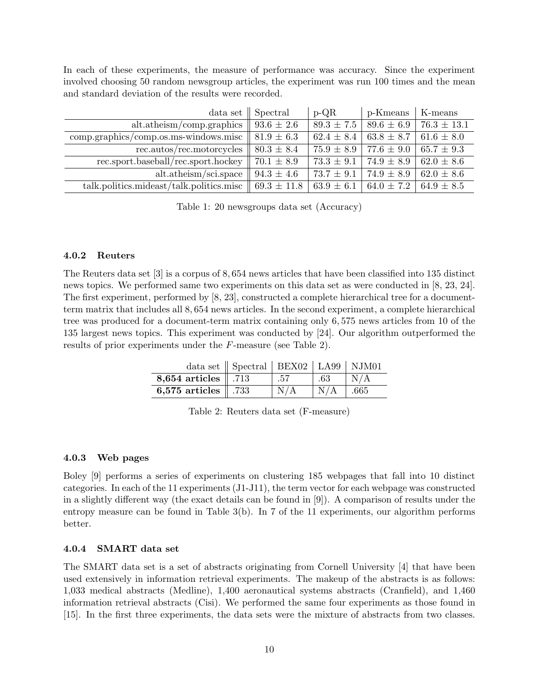In each of these experiments, the measure of performance was accuracy. Since the experiment involved choosing 50 random newsgroup articles, the experiment was run 100 times and the mean and standard deviation of the results were recorded.

| data set                                 | Spectral        | $p-QR$         | p-Kmeans       | K-means         |
|------------------------------------------|-----------------|----------------|----------------|-----------------|
| alt. at heism/comp.graphics              | $93.6 \pm 2.6$  | $89.3 \pm 7.5$ | $89.6 \pm 6.9$ | $76.3 \pm 13.1$ |
| $comp. graphics/compos.ms-windows.misc$  | $81.9 \pm 6.3$  | $62.4 \pm 8.4$ | $63.8 \pm 8.7$ | $61.6 \pm 8.0$  |
| rec.autos/rec.motorcycles                | $80.3 \pm 8.4$  | $75.9 \pm 8.9$ | $77.6 \pm 9.0$ | $65.7 \pm 9.3$  |
| rec.sport.baseball/rec.sport.hockey      | $70.1 \pm 8.9$  | $73.3 \pm 9.1$ | $74.9 \pm 8.9$ | $62.0 \pm 8.6$  |
| alt.atheism/sci.space                    | $94.3 \pm 4.6$  | $73.7 \pm 9.1$ | $74.9 \pm 8.9$ | $62.0 \pm 8.6$  |
| talk.politics.mideast/talk.politics.misc | $69.3 \pm 11.8$ | $63.9 \pm 6.1$ | 64.0 $\pm$ 7.2 | $64.9 \pm 8.5$  |

Table 1: 20 newsgroups data set (Accuracy)

#### 4.0.2 Reuters

The Reuters data set [3] is a corpus of 8, 654 news articles that have been classified into 135 distinct news topics. We performed same two experiments on this data set as were conducted in [8, 23, 24]. The first experiment, performed by [8, 23], constructed a complete hierarchical tree for a documentterm matrix that includes all 8, 654 news articles. In the second experiment, a complete hierarchical tree was produced for a document-term matrix containing only 6, 575 news articles from 10 of the 135 largest news topics. This experiment was conducted by [24]. Our algorithm outperformed the results of prior experiments under the F-measure (see Table 2).

|                                 | data set $\parallel$ Spectral $\parallel$ BEX02 $\parallel$ LA99 $\parallel$ NJM01 |     |     |                         |
|---------------------------------|------------------------------------------------------------------------------------|-----|-----|-------------------------|
| 8,654 articles $\parallel$ .713 |                                                                                    | .57 | .63 | $\mathsf{N}/\mathsf{A}$ |
| 6,575 articles $\parallel$ .733 |                                                                                    | N/A | N/A | .665                    |

Table 2: Reuters data set (F-measure)

#### 4.0.3 Web pages

Boley [9] performs a series of experiments on clustering 185 webpages that fall into 10 distinct categories. In each of the 11 experiments (J1-J11), the term vector for each webpage was constructed in a slightly different way (the exact details can be found in [9]). A comparison of results under the entropy measure can be found in Table 3(b). In 7 of the 11 experiments, our algorithm performs better.

#### 4.0.4 SMART data set

The SMART data set is a set of abstracts originating from Cornell University [4] that have been used extensively in information retrieval experiments. The makeup of the abstracts is as follows: 1,033 medical abstracts (Medline), 1,400 aeronautical systems abstracts (Cranfield), and 1,460 information retrieval abstracts (Cisi). We performed the same four experiments as those found in [15]. In the first three experiments, the data sets were the mixture of abstracts from two classes.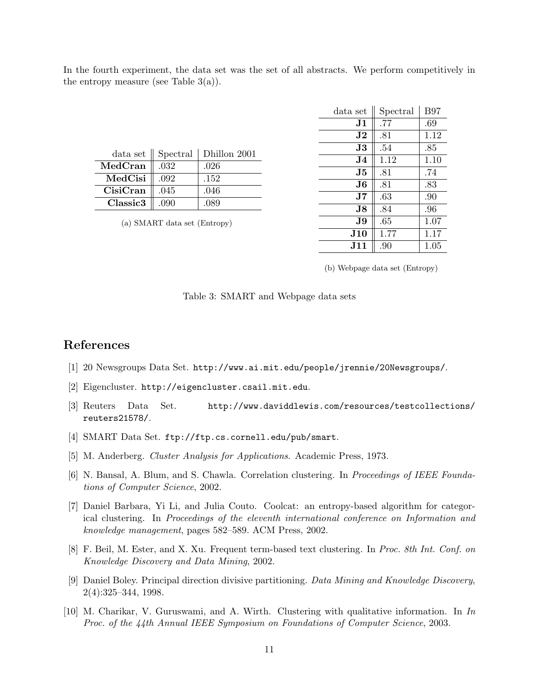In the fourth experiment, the data set was the set of all abstracts. We perform competitively in the entropy measure (see Table  $3(a)$ ).

| data <sub>set</sub> | Spectral | Dhillon 2001 |
|---------------------|----------|--------------|
| MedCran             | .032     | .026         |
| MedCisi             | .092     | .152         |
| CisiCran            | .045     | .046         |
| Classic3            | .090     | .089         |

(a) SMART data set (Entropy)

| data set       | Spectral | <b>B97</b> |
|----------------|----------|------------|
| J1             | .77      | .69        |
| $\bf J2$       | .81      | 1.12       |
| J3             | .54      | .85        |
| J4.            | 1.12     | 1.10       |
| J5             | .81      | .74        |
| J6             | .81      | .83        |
| $\bf J7$       | .63      | .90        |
| J8.            | .84      | .96        |
| J9             | .65      | 1.07       |
| <b>J10</b>     | 1.77     | 1.17       |
| $\mathbf{J11}$ | .90      | 1.05       |

(b) Webpage data set (Entropy)

# References

- [1] 20 Newsgroups Data Set. http://www.ai.mit.edu/people/jrennie/20Newsgroups/.
- [2] Eigencluster. http://eigencluster.csail.mit.edu.
- [3] Reuters Data Set. http://www.daviddlewis.com/resources/testcollections/ reuters21578/.
- [4] SMART Data Set. ftp://ftp.cs.cornell.edu/pub/smart.
- [5] M. Anderberg. Cluster Analysis for Applications. Academic Press, 1973.
- [6] N. Bansal, A. Blum, and S. Chawla. Correlation clustering. In Proceedings of IEEE Foundations of Computer Science, 2002.
- [7] Daniel Barbara, Yi Li, and Julia Couto. Coolcat: an entropy-based algorithm for categorical clustering. In Proceedings of the eleventh international conference on Information and knowledge management, pages 582–589. ACM Press, 2002.
- [8] F. Beil, M. Ester, and X. Xu. Frequent term-based text clustering. In Proc. 8th Int. Conf. on Knowledge Discovery and Data Mining, 2002.
- [9] Daniel Boley. Principal direction divisive partitioning. Data Mining and Knowledge Discovery, 2(4):325–344, 1998.
- [10] M. Charikar, V. Guruswami, and A. Wirth. Clustering with qualitative information. In In Proc. of the 44th Annual IEEE Symposium on Foundations of Computer Science, 2003.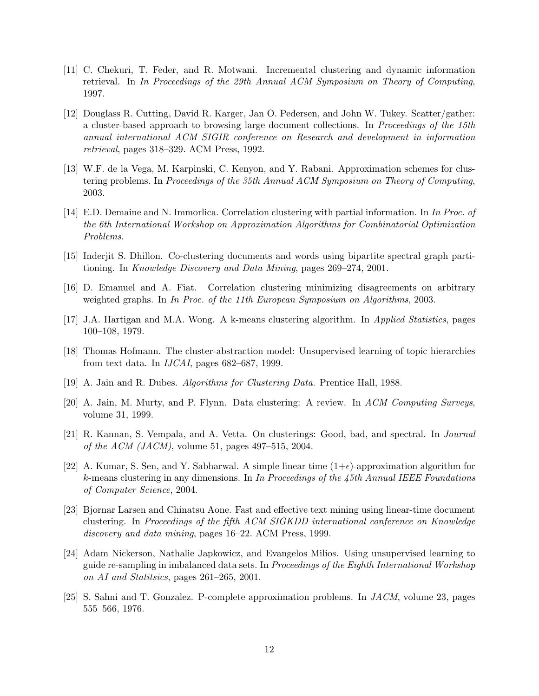- [11] C. Chekuri, T. Feder, and R. Motwani. Incremental clustering and dynamic information retrieval. In In Proceedings of the 29th Annual ACM Symposium on Theory of Computing, 1997.
- [12] Douglass R. Cutting, David R. Karger, Jan O. Pedersen, and John W. Tukey. Scatter/gather: a cluster-based approach to browsing large document collections. In Proceedings of the 15th annual international ACM SIGIR conference on Research and development in information retrieval, pages 318–329. ACM Press, 1992.
- [13] W.F. de la Vega, M. Karpinski, C. Kenyon, and Y. Rabani. Approximation schemes for clustering problems. In Proceedings of the 35th Annual ACM Symposium on Theory of Computing, 2003.
- [14] E.D. Demaine and N. Immorlica. Correlation clustering with partial information. In In Proc. of the 6th International Workshop on Approximation Algorithms for Combinatorial Optimization Problems.
- [15] Inderjit S. Dhillon. Co-clustering documents and words using bipartite spectral graph partitioning. In Knowledge Discovery and Data Mining, pages 269–274, 2001.
- [16] D. Emanuel and A. Fiat. Correlation clustering–minimizing disagreements on arbitrary weighted graphs. In In Proc. of the 11th European Symposium on Algorithms, 2003.
- [17] J.A. Hartigan and M.A. Wong. A k-means clustering algorithm. In Applied Statistics, pages 100–108, 1979.
- [18] Thomas Hofmann. The cluster-abstraction model: Unsupervised learning of topic hierarchies from text data. In IJCAI, pages 682–687, 1999.
- [19] A. Jain and R. Dubes. Algorithms for Clustering Data. Prentice Hall, 1988.
- [20] A. Jain, M. Murty, and P. Flynn. Data clustering: A review. In ACM Computing Surveys, volume 31, 1999.
- [21] R. Kannan, S. Vempala, and A. Vetta. On clusterings: Good, bad, and spectral. In Journal *of the ACM (JACM)*, volume 51, pages 497–515, 2004.
- [22] A. Kumar, S. Sen, and Y. Sabharwal. A simple linear time  $(1+\epsilon)$ -approximation algorithm for k-means clustering in any dimensions. In In Proceedings of the 45th Annual IEEE Foundations of Computer Science, 2004.
- [23] Bjornar Larsen and Chinatsu Aone. Fast and effective text mining using linear-time document clustering. In Proceedings of the fifth ACM SIGKDD international conference on Knowledge discovery and data mining, pages 16–22. ACM Press, 1999.
- [24] Adam Nickerson, Nathalie Japkowicz, and Evangelos Milios. Using unsupervised learning to guide re-sampling in imbalanced data sets. In Proceedings of the Eighth International Workshop on AI and Statitsics, pages 261–265, 2001.
- [25] S. Sahni and T. Gonzalez. P-complete approximation problems. In JACM, volume 23, pages 555–566, 1976.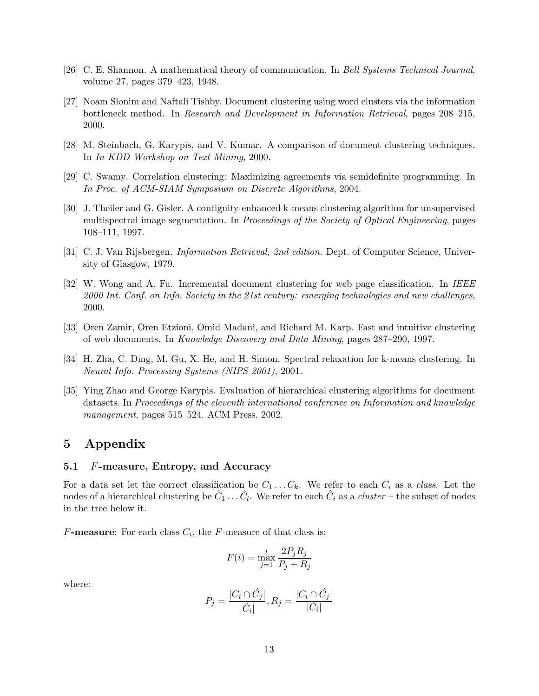- [26] C. E. Shannon. A mathematical theory of communication. In Bell Systems Technical Journal, volume 27, pages 379–423, 1948.
- [27] Noam Slonim and Naftali Tishby. Document clustering using word clusters via the information bottleneck method. In Research and Development in Information Retrieval, pages 208–215, 2000.
- [28] M. Steinbach, G. Karypis, and V. Kumar. A comparison of document clustering techniques. In In KDD Workshop on Text Mining, 2000.
- [29] C. Swamy. Correlation clustering: Maximizing agreements via semidefinite programming. In In Proc. of ACM-SIAM Symposium on Discrete Algorithms, 2004.
- [30] J. Theiler and G. Gisler. A contiguity-enhanced k-means clustering algorithm for unsupervised multispectral image segmentation. In *Proceedings of the Society of Optical Engineering*, pages 108–111, 1997.
- [31] C. J. Van Rijsbergen. Information Retrieval, 2nd edition. Dept. of Computer Science, University of Glasgow, 1979.
- [32] W. Wong and A. Fu. Incremental document clustering for web page classification. In IEEE 2000 Int. Conf. on Info. Society in the 21st century: emerging technologies and new challenges, 2000.
- [33] Oren Zamir, Oren Etzioni, Omid Madani, and Richard M. Karp. Fast and intuitive clustering of web documents. In Knowledge Discovery and Data Mining, pages 287–290, 1997.
- [34] H. Zha, C. Ding, M. Gu, X. He, and H. Simon. Spectral relaxation for k-means clustering. In Neural Info. Processing Systems (NIPS 2001), 2001.
- [35] Ying Zhao and George Karypis. Evaluation of hierarchical clustering algorithms for document datasets. In Proceedings of the eleventh international conference on Information and knowledge management, pages 515–524. ACM Press, 2002.

# 5 Appendix

#### 5.1 F-measure, Entropy, and Accuracy

For a data set let the correct classification be  $C_1 \ldots C_k$ . We refer to each  $C_i$  as a class. Let the nodes of a hierarchical clustering be  $\hat{C}_1 \ldots \hat{C}_l$ . We refer to each  $\hat{C}_i$  as a *cluster* – the subset of nodes in the tree below it.

F-measure: For each class  $C_i$ , the F-measure of that class is:

$$
F(i) = \max_{j=1}^{l} \frac{2P_j R_j}{P_j + R_j}
$$

where:

$$
P_j = \frac{|C_i \cap \hat{C}_j|}{|\hat{C}_i|}, R_j = \frac{|C_i \cap \hat{C}_j|}{|C_i|}
$$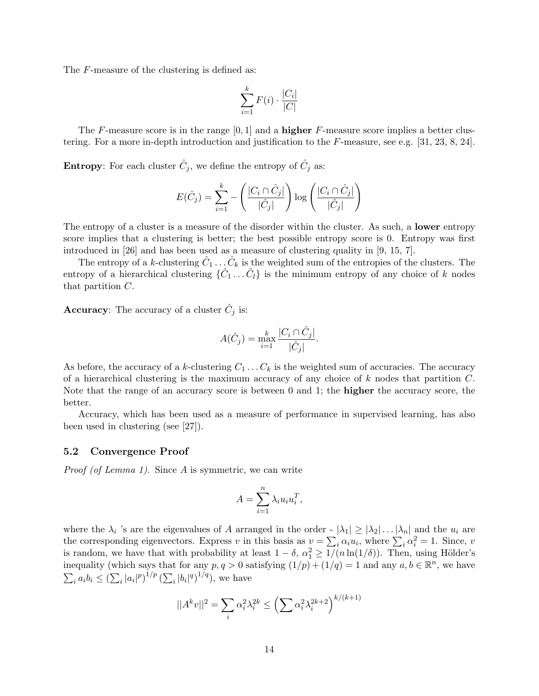The F-measure of the clustering is defined as:

$$
\sum_{i=1}^{k} F(i) \cdot \frac{|C_i|}{|C|}
$$

The F-measure score is in the range  $[0, 1]$  and a **higher** F-measure score implies a better clustering. For a more in-depth introduction and justification to the F-measure, see e.g. [31, 23, 8, 24].

**Entropy**: For each cluster  $\hat{C}_j$ , we define the entropy of  $\hat{C}_j$  as:

$$
E(\hat{C}_j) = \sum_{i=1}^k - \left(\frac{|C_i \cap \hat{C}_j|}{|\hat{C}_j|}\right) \log \left(\frac{|C_i \cap \hat{C}_j|}{|\hat{C}_j|}\right)
$$

The entropy of a cluster is a measure of the disorder within the cluster. As such, a **lower** entropy score implies that a clustering is better; the best possible entropy score is 0. Entropy was first introduced in [26] and has been used as a measure of clustering quality in [9, 15, 7].

The entropy of a k-clustering  $\hat{C}_1 \dots \hat{C}_k$  is the weighted sum of the entropies of the clusters. The entropy of a hierarchical clustering  $\{\hat{C}_1 \dots \hat{C}_l\}$  is the minimum entropy of any choice of k nodes that partition C.

**Accuracy**: The accuracy of a cluster  $\hat{C}_j$  is:

$$
A(\hat{C}_j) = \max_{i=1}^k \frac{|C_i \cap \hat{C}_j|}{|\hat{C}_j|}.
$$

As before, the accuracy of a k-clustering  $C_1 \ldots C_k$  is the weighted sum of accuracies. The accuracy of a hierarchical clustering is the maximum accuracy of any choice of  $k$  nodes that partition  $C$ . Note that the range of an accuracy score is between 0 and 1; the higher the accuracy score, the better.

Accuracy, which has been used as a measure of performance in supervised learning, has also been used in clustering (see [27]).

#### 5.2 Convergence Proof

Proof (of Lemma 1). Since A is symmetric, we can write

$$
A = \sum_{i=1}^{n} \lambda_i u_i u_i^T,
$$

where the  $\lambda_i$  's are the eigenvalues of A arranged in the order  $- |\lambda_1| \geq |\lambda_2| \dots |\lambda_n|$  and the  $u_i$  are the corresponding eigenvectors. Express v in this basis as  $v = \sum_i \alpha_i u_i$ , where  $\sum_i \alpha_i^2 = 1$ . Since, v is random, we have that with probability at least  $1 - \delta$ ,  $\alpha_1^2 \ge 1/(n \ln(1/\delta))$ . Then, using Hölder's inequality (which says that for any  $p, q > 0$  satisfying  $(1/p) + (1/q) = 1$  and any  $a, b \in \mathbb{R}^n$ , we have  $\sum_i a_i b_i \leq (\sum_i |a_i|^p)^{1/p} (\sum_i |b_i|^q)^{1/q}$ , we have

$$
||A^k v||^2 = \sum_i \alpha_i^2 \lambda_i^{2k} \le \left(\sum_i \alpha_i^2 \lambda_i^{2k+2}\right)^{k/(k+1)}
$$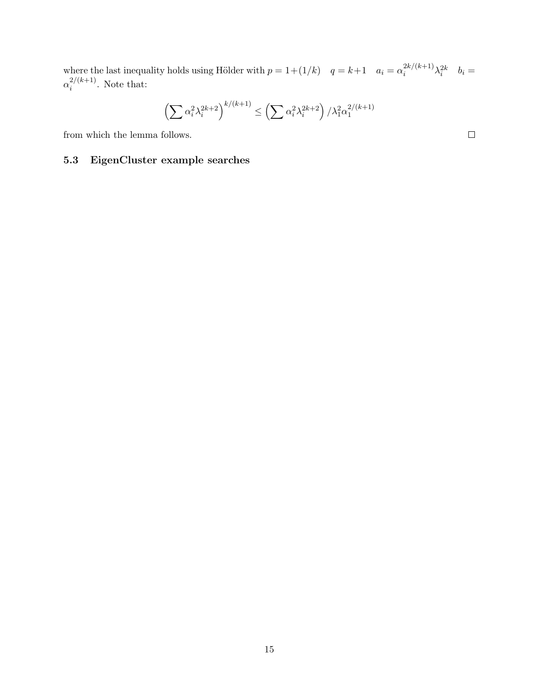where the last inequality holds using Hölder with  $p = 1 + (1/k)$   $q = k+1$   $a_i = \alpha_i^{2k/(k+1)}$  $a_i^{2k/(k+1)}\lambda_i^{2k}$   $b_i =$  $\alpha_i^{2/(k+1)}$  $i^{2/(k+1)}$ . Note that:

$$
\left(\sum \alpha_i^2 \lambda_i^{2k+2}\right)^{k/(k+1)} \le \left(\sum \alpha_i^2 \lambda_i^{2k+2}\right) / \lambda_1^2 \alpha_1^{2/(k+1)}
$$

from which the lemma follows.

# 5.3 EigenCluster example searches

15

 $\Box$